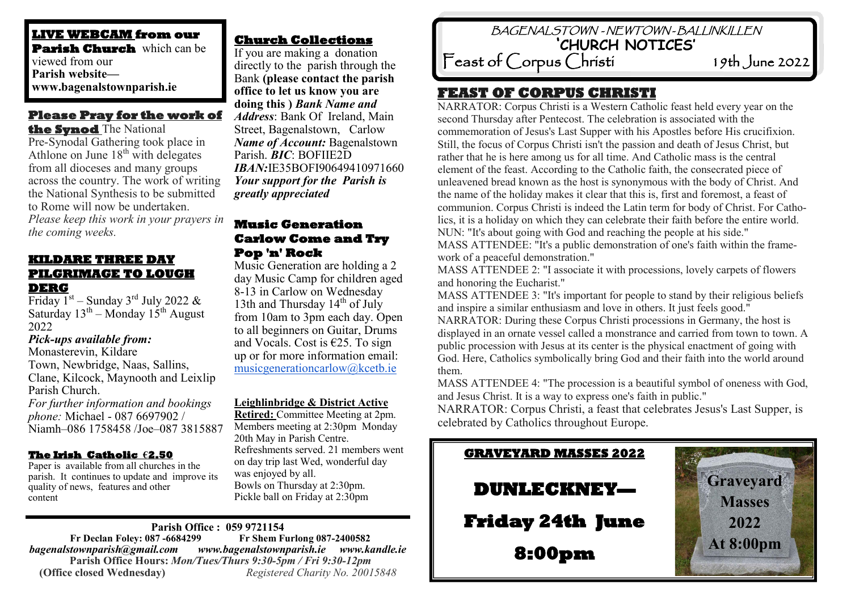**LIVE WEBCAM from our Parish Church** which can be viewed from our **Parish website www.bagenalstownparish.ie**

# **Please Pray for the work of**

**the Synod** The National Pre-Synodal Gathering took place in Athlone on June  $18<sup>th</sup>$  with delegates from all dioceses and many groups across the country. The work of writing the National Synthesis to be submitted to Rome will now be undertaken.

*Please keep this work in your prayers in the coming weeks.*

#### **KILDARE THREE DAY PILGRIMAGE TO LOUGH DERG**

Friday  $1^{st}$  – Sunday 3<sup>rd</sup> July 2022 & Saturday  $13^{th}$  – Monday  $15^{th}$  August 2022

#### *Pick-ups available from:*

Monasterevin, Kildare Town, Newbridge, Naas, Sallins, Clane, Kilcock, Maynooth and Leixlip Parish Church.

*For further information and bookings phone:* Michael - 087 6697902 / Niamh–086 1758458 /Joe–087 3815887

#### **The Irish Catholic €2.50**

Paper is available from all churches in the parish. It continues to update and improve its quality of news, features and other content

# **Church Collections**

If you are making a donation directly to the parish through the Bank **(please contact the parish office to let us know you are doing this )** *Bank Name and Address*: Bank Of Ireland, Main Street, Bagenalstown, Carlow *Name of Account:* Bagenalstown Parish. *BIC*: BOFIIE2D *IBAN:*IE35BOFI90649410971660 *Your support for the Parish is greatly appreciated*

#### **Music Generation Carlow Come and Try Pop 'n' Rock**

Music Generation are holding a 2 day Music Camp for children aged 8-13 in Carlow on Wednesday 13th and Thursday  $14<sup>th</sup>$  of July from 10am to 3pm each day. Open to all beginners on Guitar, Drums and Vocals. Cost is €25. To sign up or for more information email: [musicgenerationcarlow@kcetb.ie](mailto:musicgenerationcarlow@kcetb.ie)

#### **Leighlinbridge & District Active**

**Retired:** Committee Meeting at 2pm. Members meeting at 2:30pm Monday 20th May in Parish Centre. Refreshments served. 21 members went on day trip last Wed, wonderful day was enjoyed by all. Bowls on Thursday at 2:30pm. Pickle ball on Friday at 2:30pm

# **Parish Office : 059 9721154**

 **Fr Declan Foley: 087 -6684299** *bagenalstownparish@gmail.com www.bagenalstownparish.ie www.kandle.ie* **Parish Office Hours:** *Mon/Tues/Thurs 9:30-5pm / Fri 9:30-12pm* **(Office closed Wednesday)** *Registered Charity No. 20015848*

 BAGENALSTOWN - NEWTOWN - BALLINKILLEN **'CHURCH NOTICES'** 

 Feast of Corpus Christi 19th June 2022

# **FEAST OF CORPUS CHRISTI**

NARRATOR: Corpus Christi is a Western Catholic feast held every year on the second Thursday after Pentecost. The celebration is associated with the commemoration of Jesus's Last Supper with his Apostles before His crucifixion. Still, the focus of Corpus Christi isn't the passion and death of Jesus Christ, but rather that he is here among us for all time. And Catholic mass is the central element of the feast. According to the Catholic faith, the consecrated piece of unleavened bread known as the host is synonymous with the body of Christ. And the name of the holiday makes it clear that this is, first and foremost, a feast of communion. Corpus Christi is indeed the Latin term for body of Christ. For Catholics, it is a holiday on which they can celebrate their faith before the entire world. NUN: "It's about going with God and reaching the people at his side." MASS ATTENDEE: "It's a public demonstration of one's faith within the frame-

work of a peaceful demonstration."

MASS ATTENDEE 2: "I associate it with processions, lovely carpets of flowers and honoring the Eucharist."

MASS ATTENDEE 3: "It's important for people to stand by their religious beliefs and inspire a similar enthusiasm and love in others. It just feels good."

NARRATOR: During these Corpus Christi processions in Germany, the host is displayed in an ornate vessel called a monstrance and carried from town to town. A public procession with Jesus at its center is the physical enactment of going with God. Here, Catholics symbolically bring God and their faith into the world around them.

MASS ATTENDEE 4: "The procession is a beautiful symbol of oneness with God, and Jesus Christ. It is a way to express one's faith in public."

NARRATOR: Corpus Christi, a feast that celebrates Jesus's Last Supper, is celebrated by Catholics throughout Europe.